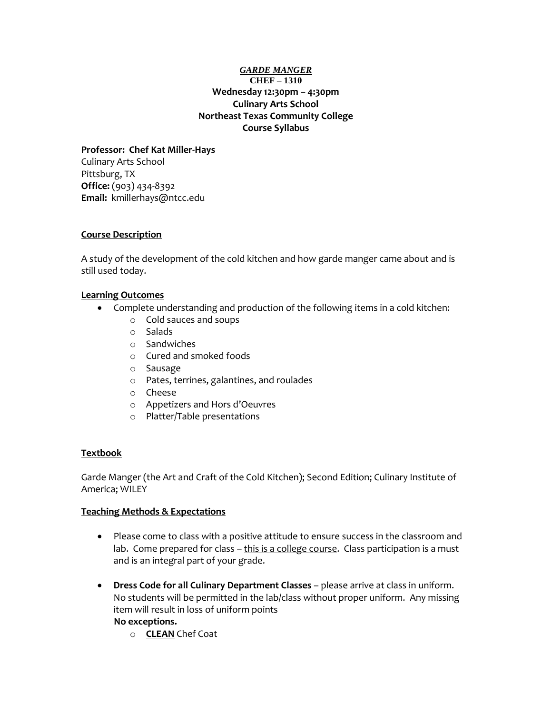## *GARDE MANGER* **CHEF – 1310 Wednesday 12:30pm – 4:30pm Culinary Arts School Northeast Texas Community College Course Syllabus**

## **Professor: Chef Kat Miller-Hays**

Culinary Arts School Pittsburg, TX **Office:** (903) 434-8392 **Email:** kmillerhays@ntcc.edu

## **Course Description**

A study of the development of the cold kitchen and how garde manger came about and is still used today.

## **Learning Outcomes**

- Complete understanding and production of the following items in a cold kitchen:
	- o Cold sauces and soups
	- o Salads
	- o Sandwiches
	- o Cured and smoked foods
	- o Sausage
	- o Pates, terrines, galantines, and roulades
	- o Cheese
	- o Appetizers and Hors d'Oeuvres
	- o Platter/Table presentations

## **Textbook**

Garde Manger (the Art and Craft of the Cold Kitchen); Second Edition; Culinary Institute of America; WILEY

#### **Teaching Methods & Expectations**

- Please come to class with a positive attitude to ensure success in the classroom and lab. Come prepared for class - this is a college course. Class participation is a must and is an integral part of your grade.
- **Dress Code for all Culinary Department Classes** please arrive at class in uniform. No students will be permitted in the lab/class without proper uniform. Any missing item will result in loss of uniform points

#### **No exceptions.**

o **CLEAN** Chef Coat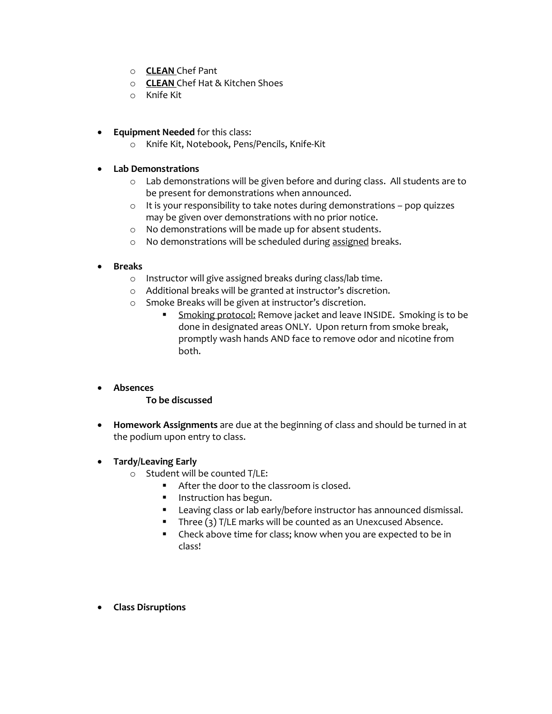- o **CLEAN** Chef Pant
- o **CLEAN** Chef Hat & Kitchen Shoes
- o Knife Kit
- **Equipment Needed** for this class:
	- o Knife Kit, Notebook, Pens/Pencils, Knife-Kit
- **Lab Demonstrations**
	- o Lab demonstrations will be given before and during class. All students are to be present for demonstrations when announced.
	- o It is your responsibility to take notes during demonstrations pop quizzes may be given over demonstrations with no prior notice.
	- o No demonstrations will be made up for absent students.
	- o No demonstrations will be scheduled during assigned breaks.
- **Breaks**
	- o Instructor will give assigned breaks during class/lab time.
	- o Additional breaks will be granted at instructor's discretion.
	- o Smoke Breaks will be given at instructor's discretion.
		- Smoking protocol: Remove jacket and leave INSIDE. Smoking is to be done in designated areas ONLY. Upon return from smoke break, promptly wash hands AND face to remove odor and nicotine from both.
- **Absences**
	- **To be discussed**
- **Homework Assignments** are due at the beginning of class and should be turned in at the podium upon entry to class.
- **Tardy/Leaving Early**
	- o Student will be counted T/LE:
		- After the door to the classroom is closed.
		- **Instruction has begun.**
		- **Leaving class or lab early/before instructor has announced dismissal.**
		- **Three (3) T/LE marks will be counted as an Unexcused Absence.**
		- Check above time for class; know when you are expected to be in class!
- **Class Disruptions**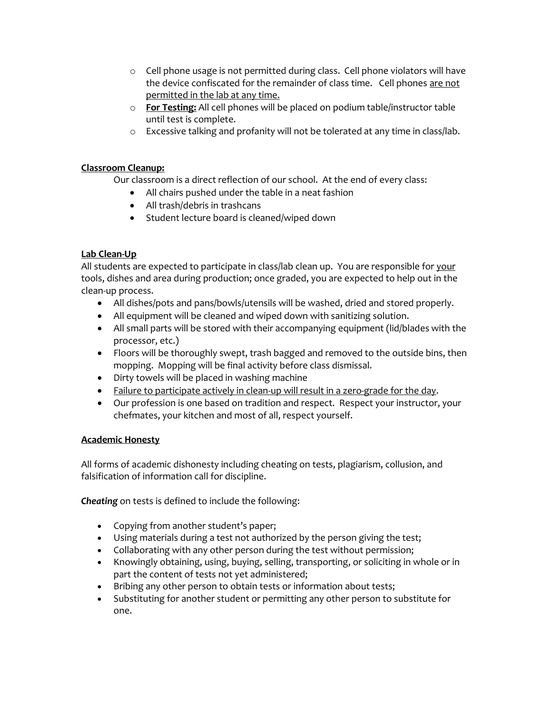- $\circ$  Cell phone usage is not permitted during class. Cell phone violators will have the device confiscated for the remainder of class time. Cell phones are not permitted in the lab at any time.
- o **For Testing:** All cell phones will be placed on podium table/instructor table until test is complete.
- o Excessive talking and profanity will not be tolerated at any time in class/lab.

# **Classroom Cleanup:**

Our classroom is a direct reflection of our school. At the end of every class:

- All chairs pushed under the table in a neat fashion
- All trash/debris in trashcans
- Student lecture board is cleaned/wiped down

## **Lab Clean-Up**

All students are expected to participate in class/lab clean up. You are responsible for your tools, dishes and area during production; once graded, you are expected to help out in the clean-up process.

- All dishes/pots and pans/bowls/utensils will be washed, dried and stored properly.
- All equipment will be cleaned and wiped down with sanitizing solution.
- All small parts will be stored with their accompanying equipment (lid/blades with the processor, etc.)
- Floors will be thoroughly swept, trash bagged and removed to the outside bins, then mopping. Mopping will be final activity before class dismissal.
- Dirty towels will be placed in washing machine
- Failure to participate actively in clean-up will result in a zero-grade for the day.
- Our profession is one based on tradition and respect. Respect your instructor, your chefmates, your kitchen and most of all, respect yourself.

## **Academic Honesty**

All forms of academic dishonesty including cheating on tests, plagiarism, collusion, and falsification of information call for discipline.

*Cheating* on tests is defined to include the following:

- Copying from another student's paper;
- Using materials during a test not authorized by the person giving the test;
- Collaborating with any other person during the test without permission;
- Knowingly obtaining, using, buying, selling, transporting, or soliciting in whole or in part the content of tests not yet administered;
- Bribing any other person to obtain tests or information about tests;
- Substituting for another student or permitting any other person to substitute for one.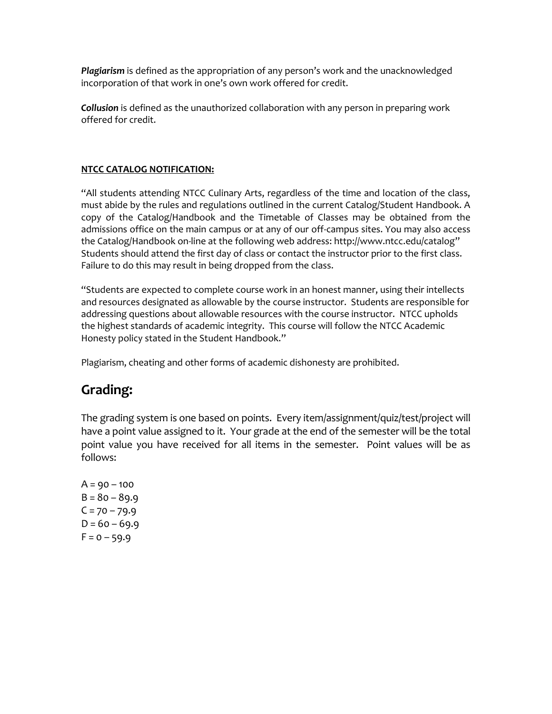*Plagiarism* is defined as the appropriation of any person's work and the unacknowledged incorporation of that work in one's own work offered for credit.

*Collusion* is defined as the unauthorized collaboration with any person in preparing work offered for credit.

# **NTCC CATALOG NOTIFICATION:**

"All students attending NTCC Culinary Arts, regardless of the time and location of the class, must abide by the rules and regulations outlined in the current Catalog/Student Handbook. A copy of the Catalog/Handbook and the Timetable of Classes may be obtained from the admissions office on the main campus or at any of our off-campus sites. You may also access the Catalog/Handbook on-line at the following web address: http://www.ntcc.edu/catalog" Students should attend the first day of class or contact the instructor prior to the first class. Failure to do this may result in being dropped from the class.

"Students are expected to complete course work in an honest manner, using their intellects and resources designated as allowable by the course instructor. Students are responsible for addressing questions about allowable resources with the course instructor. NTCC upholds the highest standards of academic integrity. This course will follow the NTCC Academic Honesty policy stated in the Student Handbook."

Plagiarism, cheating and other forms of academic dishonesty are prohibited.

# **Grading:**

The grading system is one based on points. Every item/assignment/quiz/test/project will have a point value assigned to it. Your grade at the end of the semester will be the total point value you have received for all items in the semester. Point values will be as follows:

 $A = 90 - 100$  $B = 80 - 89.9$  $C = 70 - 79.9$  $D = 60 - 69.9$  $F = 0 - 59.9$